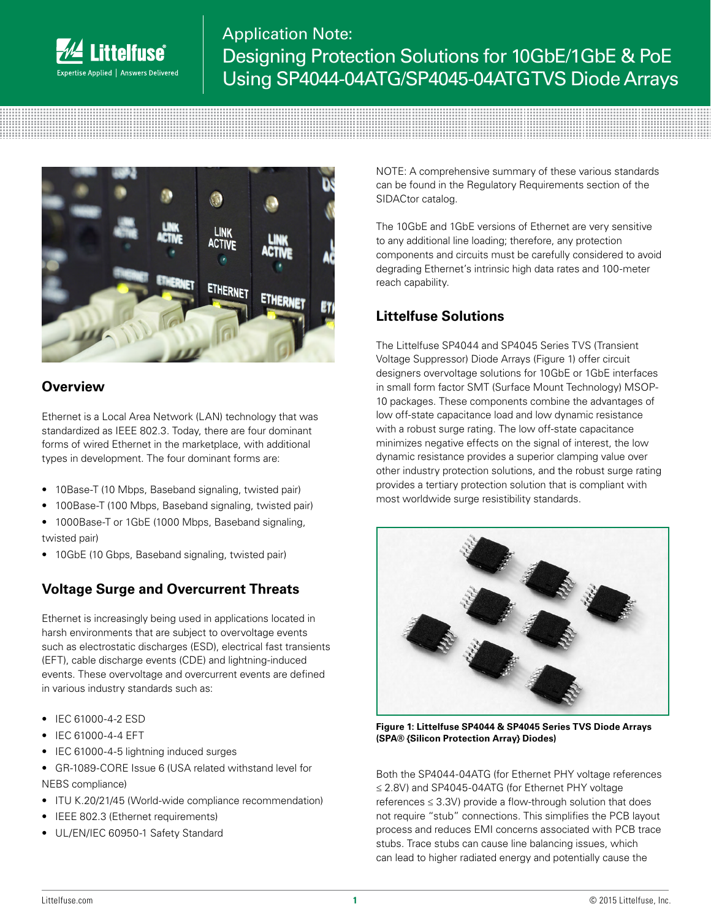

# Application Note: Designing Protection Solutions for 10GbE/1GbE & PoE Using SP4044-04ATG/SP4045-04ATG TVS Diode Arrays



#### **Overview**

Ethernet is a Local Area Network (LAN) technology that was standardized as IEEE 802.3. Today, there are four dominant forms of wired Ethernet in the marketplace, with additional types in development. The four dominant forms are:

- 10Base-T (10 Mbps, Baseband signaling, twisted pair)
- 100Base-T (100 Mbps, Baseband signaling, twisted pair)
- 1000Base-T or 1GbE (1000 Mbps, Baseband signaling, twisted pair)
- 10GbE (10 Gbps, Baseband signaling, twisted pair)

### **Voltage Surge and Overcurrent Threats**

Ethernet is increasingly being used in applications located in harsh environments that are subject to overvoltage events such as electrostatic discharges (ESD), electrical fast transients (EFT), cable discharge events (CDE) and lightning-induced events. These overvoltage and overcurrent events are defined in various industry standards such as:

- IEC 61000-4-2 ESD
- IEC 61000-4-4 EFT
- IEC 61000-4-5 lightning induced surges
- GR-1089-CORE Issue 6 (USA related withstand level for NEBS compliance)
- ITU K.20/21/45 (World-wide compliance recommendation)
- IEEE 802.3 (Ethernet requirements)
- UL/EN/IEC 60950-1 Safety Standard

NOTE: A comprehensive summary of these various standards can be found in the Regulatory Requirements section of the SIDACtor catalog.

The 10GbE and 1GbE versions of Ethernet are very sensitive to any additional line loading; therefore, any protection components and circuits must be carefully considered to avoid degrading Ethernet's intrinsic high data rates and 100-meter reach capability.

## **Littelfuse Solutions**

The Littelfuse SP4044 and SP4045 Series TVS (Transient Voltage Suppressor) Diode Arrays (Figure 1) offer circuit designers overvoltage solutions for 10GbE or 1GbE interfaces in small form factor SMT (Surface Mount Technology) MSOP-10 packages. These components combine the advantages of low off-state capacitance load and low dynamic resistance with a robust surge rating. The low off-state capacitance minimizes negative effects on the signal of interest, the low dynamic resistance provides a superior clamping value over other industry protection solutions, and the robust surge rating provides a tertiary protection solution that is compliant with most worldwide surge resistibility standards.



**Figure 1: Littelfuse SP4044 & SP4045 Series TVS Diode Arrays (SPA® {Silicon Protection Array} Diodes)**

Both the SP4044-04ATG (for Ethernet PHY voltage references ≤ 2.8V) and SP4045-04ATG (for Ethernet PHY voltage references  $\leq$  3.3V) provide a flow-through solution that does not require "stub" connections. This simplifies the PCB layout process and reduces EMI concerns associated with PCB trace stubs. Trace stubs can cause line balancing issues, which can lead to higher radiated energy and potentially cause the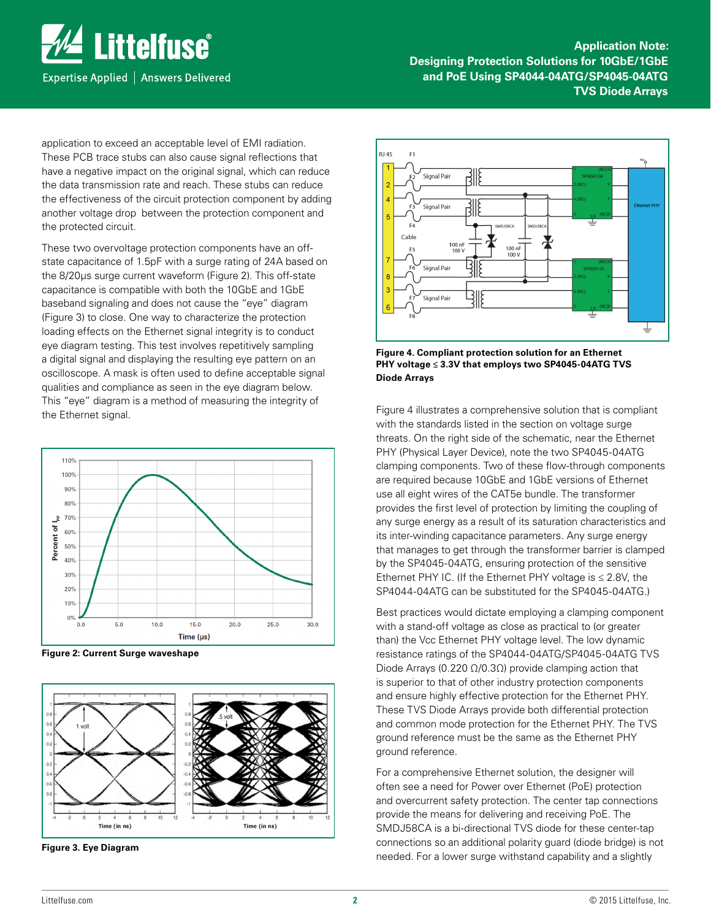

**Application Note: Designing Protection Solutions for 10GbE/1GbE and PoE Using SP4044-04ATG/SP4045-04ATG TVS Diode Arrays**

application to exceed an acceptable level of EMI radiation. These PCB trace stubs can also cause signal reflections that have a negative impact on the original signal, which can reduce the data transmission rate and reach. These stubs can reduce the effectiveness of the circuit protection component by adding another voltage drop between the protection component and the protected circuit.

These two overvoltage protection components have an offstate capacitance of 1.5pF with a surge rating of 24A based on the 8/20µs surge current waveform (Figure 2). This off-state capacitance is compatible with both the 10GbE and 1GbE baseband signaling and does not cause the "eye" diagram (Figure 3) to close. One way to characterize the protection loading effects on the Ethernet signal integrity is to conduct eye diagram testing. This test involves repetitively sampling a digital signal and displaying the resulting eye pattern on an oscilloscope. A mask is often used to define acceptable signal qualities and compliance as seen in the eye diagram below. This "eye" diagram is a method of measuring the integrity of the Ethernet signal.



**Figure 2: Current Surge waveshape**



**Figure 3. Eye Diagram**



**Figure 4. Compliant protection solution for an Ethernet PHY voltage ≤ 3.3V that employs two SP4045-04ATG TVS Diode Arrays**

Figure 4 illustrates a comprehensive solution that is compliant with the standards listed in the section on voltage surge threats. On the right side of the schematic, near the Ethernet PHY (Physical Layer Device), note the two SP4045-04ATG clamping components. Two of these flow-through components are required because 10GbE and 1GbE versions of Ethernet use all eight wires of the CAT5e bundle. The transformer provides the first level of protection by limiting the coupling of any surge energy as a result of its saturation characteristics and its inter-winding capacitance parameters. Any surge energy that manages to get through the transformer barrier is clamped by the SP4045-04ATG, ensuring protection of the sensitive Ethernet PHY IC. (If the Ethernet PHY voltage is  $\leq 2.8$ V, the SP4044-04ATG can be substituted for the SP4045-04ATG.)

Best practices would dictate employing a clamping component with a stand-off voltage as close as practical to (or greater than) the Vcc Ethernet PHY voltage level. The low dynamic resistance ratings of the SP4044-04ATG/SP4045-04ATG TVS Diode Arrays (0.220  $Ω/0.3Ω$ ) provide clamping action that is superior to that of other industry protection components and ensure highly effective protection for the Ethernet PHY. These TVS Diode Arrays provide both differential protection and common mode protection for the Ethernet PHY. The TVS ground reference must be the same as the Ethernet PHY ground reference.

For a comprehensive Ethernet solution, the designer will often see a need for Power over Ethernet (PoE) protection and overcurrent safety protection. The center tap connections provide the means for delivering and receiving PoE. The SMDJ58CA is a bi-directional TVS diode for these center-tap connections so an additional polarity guard (diode bridge) is not needed. For a lower surge withstand capability and a slightly